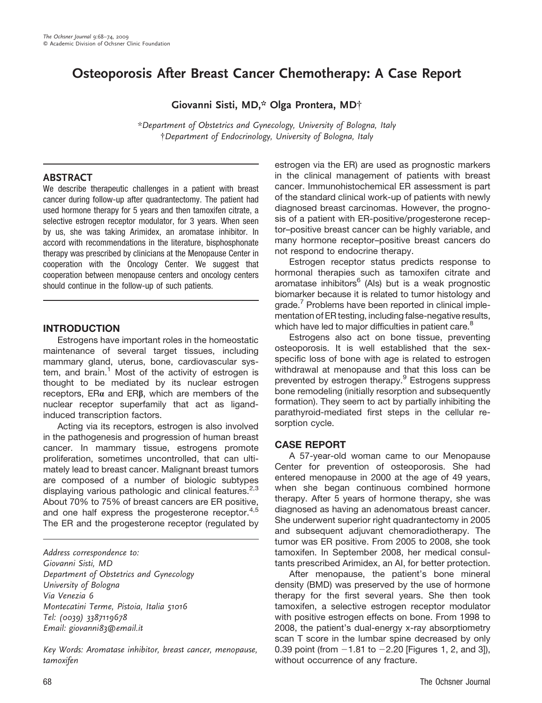# Osteoporosis After Breast Cancer Chemotherapy: A Case Report

Giovanni Sisti, MD,\* Olga Prontera, MD†

\*Department of Obstetrics and Gynecology, University of Bologna, Italy {Department of Endocrinology, University of Bologna, Italy

## ABSTRACT

We describe therapeutic challenges in a patient with breast cancer during follow-up after quadrantectomy. The patient had used hormone therapy for 5 years and then tamoxifen citrate, a selective estrogen receptor modulator, for 3 years. When seen by us, she was taking Arimidex, an aromatase inhibitor. In accord with recommendations in the literature, bisphosphonate therapy was prescribed by clinicians at the Menopause Center in cooperation with the Oncology Center. We suggest that cooperation between menopause centers and oncology centers should continue in the follow-up of such patients.

## INTRODUCTION

Estrogens have important roles in the homeostatic maintenance of several target tissues, including mammary gland, uterus, bone, cardiovascular system, and brain.<sup>1</sup> Most of the activity of estrogen is thought to be mediated by its nuclear estrogen receptors,  $ER\alpha$  and  $ER\beta$ , which are members of the nuclear receptor superfamily that act as ligandinduced transcription factors.

Acting via its receptors, estrogen is also involved in the pathogenesis and progression of human breast cancer. In mammary tissue, estrogens promote proliferation, sometimes uncontrolled, that can ultimately lead to breast cancer. Malignant breast tumors are composed of a number of biologic subtypes displaying various pathologic and clinical features.<sup>2,3</sup> About 70% to 75% of breast cancers are ER positive, and one half express the progesterone receptor.<sup>4,5</sup> The ER and the progesterone receptor (regulated by

Address correspondence to: Giovanni Sisti, MD Department of Obstetrics and Gynecology University of Bologna Via Venezia 6 Montecatini Terme, Pistoia, Italia 51016 Tel: (0039) 3387119678 Email: giovanni83@email.it

Key Words: Aromatase inhibitor, breast cancer, menopause, tamoxifen

estrogen via the ER) are used as prognostic markers in the clinical management of patients with breast cancer. Immunohistochemical ER assessment is part of the standard clinical work-up of patients with newly diagnosed breast carcinomas. However, the prognosis of a patient with ER-positive/progesterone receptor–positive breast cancer can be highly variable, and many hormone receptor–positive breast cancers do not respond to endocrine therapy.

Estrogen receptor status predicts response to hormonal therapies such as tamoxifen citrate and aromatase inhibitors $6$  (Als) but is a weak prognostic biomarker because it is related to tumor histology and grade.<sup>7</sup> Problems have been reported in clinical implementation of ER testing, including false-negative results, which have led to major difficulties in patient care.<sup>8</sup>

Estrogens also act on bone tissue, preventing osteoporosis. It is well established that the sexspecific loss of bone with age is related to estrogen withdrawal at menopause and that this loss can be prevented by estrogen therapy.<sup>9</sup> Estrogens suppress bone remodeling (initially resorption and subsequently formation). They seem to act by partially inhibiting the parathyroid-mediated first steps in the cellular resorption cycle.

## CASE REPORT

A 57-year-old woman came to our Menopause Center for prevention of osteoporosis. She had entered menopause in 2000 at the age of 49 years, when she began continuous combined hormone therapy. After 5 years of hormone therapy, she was diagnosed as having an adenomatous breast cancer. She underwent superior right quadrantectomy in 2005 and subsequent adjuvant chemoradiotherapy. The tumor was ER positive. From 2005 to 2008, she took tamoxifen. In September 2008, her medical consultants prescribed Arimidex, an AI, for better protection.

After menopause, the patient's bone mineral density (BMD) was preserved by the use of hormone therapy for the first several years. She then took tamoxifen, a selective estrogen receptor modulator with positive estrogen effects on bone. From 1998 to 2008, the patient's dual-energy x-ray absorptiometry scan T score in the lumbar spine decreased by only 0.39 point (from  $-1.81$  to  $-2.20$  [Figures 1, 2, and 3]), without occurrence of any fracture.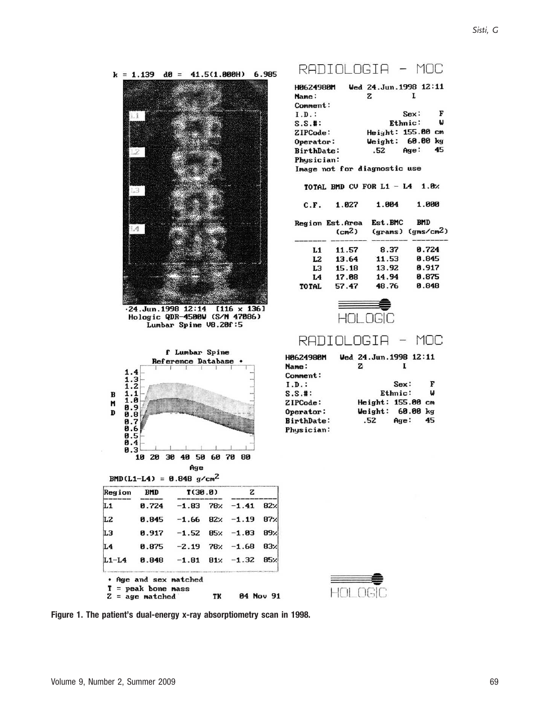F

u

45



Figure 1. The patient's dual-energy x-ray absorptiometry scan in 1998.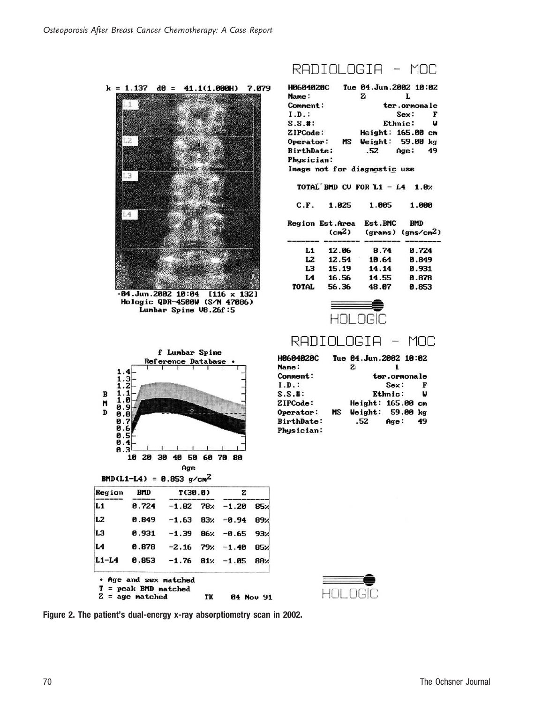

 $Z = age$  matched TK 04 Nov 91



Figure 2. The patient's dual-energy x-ray absorptiometry scan in 2002.

## RADIOLOGIA - MOC

 $\mathbf{z}$ 

 $.52$ 

1.005

L

Sex:

Age:

Ethnic:

Height: 165.00 cm  $Weight: 59.00 kg$ 

ter.ormonale

F

W

49

1.000

|                      | egion Est.Area<br>(c <sub>m</sub> 2) | Est.BMC               | <b>BMD</b><br>(grams) (gms/cm <sup>2</sup> ) |  |  |  |
|----------------------|--------------------------------------|-----------------------|----------------------------------------------|--|--|--|
| L1                   | 12.06                                | 8.74                  | 0.724                                        |  |  |  |
| L2                   | 12.54                                | 10.64                 | 0.849                                        |  |  |  |
| LЗ                   | 15.19                                | 14.14                 | 0.931                                        |  |  |  |
| L <sub>4</sub>       | 16.56                                | 14.55                 | 0.878                                        |  |  |  |
| TOTAL                | 56.36                                | 48.07                 | 8.853                                        |  |  |  |
| ≡≡<br><b>HOLOGIC</b> |                                      |                       |                                              |  |  |  |
|                      | RADIOLOGIA – MOC                     |                       |                                              |  |  |  |
| 04020C               |                                      | Tue 04.Jun.2002 10:02 |                                              |  |  |  |

| <b>H0604020C</b> |    | Tue 04.Jun.2002 10:02 |      |    |
|------------------|----|-----------------------|------|----|
| Name:            |    | z                     |      |    |
| Comment:         |    | ter.ormonale          |      |    |
| I.D.:            |    |                       | Sex: |    |
| $S.S.$ #:        |    | Ethnic:               |      | u  |
| ZIPCode:         |    | Height: 165.00 cm     |      |    |
| Operator:        | MS | Weight: 59.00 kg      |      |    |
| BirthDate:       |    | .52                   | Age: | 49 |
| Physician:       |    |                       |      |    |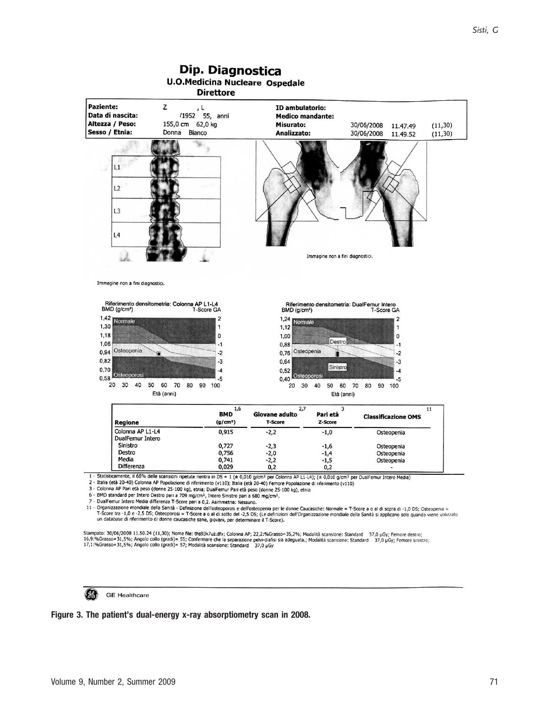#### Dip. Diagnostica **U.O.Medicina Nucleare Ospedale Direttore Paziente:** Z  $, L$ ID ambulatorio: Data di nascita: /1952 55, anni **Medico mandante:** Altezza / Peso: 155,0 cm 62,0 kg **Misurato:** 30/06/2008  $(11, 30)$ 11.47.49 Sesso / Etnia: Donna Bianco Analizzato: 30/06/2008 11.49.52  $(11, 30)$  $L1$  $L2$  $L3$  $L4$ Immagine non a fini diagnostici. Immagine non a fini diagnostici. Riferimento densitometria: Colonna AP L1-L4<br>BMD (g/cm<sup>2</sup>) T-Score GA Riferimento densitometria: DualFemur Intero<br>BMD (g/cm<sup>2</sup>) T-Score GA BMD (g/cm<sup>2</sup>)  $\frac{1,42}{1,30}$  Normale  $\overline{2}$ 1,24  $\overline{2}$ 1,30  $\mathbf{1}$ 1,12 1  $1,18$ 1.00  $\mathbf{0}$  $\mathbf 0$ Destro 1,06  $-1$ 0,88 -1 0,76 Osteopenia Osteopenia 0,94  $-2$  $-2$ 0,82  $-3$ 0,64  $-3$ Sinistro 0,70 -4  $0,52$ -4 0,58  $-5$  $0,40$  $-5$ 20 30 40 50 60 70 80 90 100 20 30 40 50 60 70 80 90 100 Età (anni) Età (anni)  $1,6$  $2,7$ 11 **BMD** Giovane adulto Pari età **Classificazione OMS** Regione  $(g/cm<sup>2</sup>)$ T-Score Z-Score Colonna AP L1-L4 0,915  $-2,2$  $-1,0$ Osteopenia DualFemur Intero Sinistro 0,727  $-2,3$  $-1,6$ Osteopenia Destro 0,756  $-2,0$  $-1,4$ <br> $-1,5$ Osteopenia  $0,741$ Media  $-2.2$ Osteopenia Differenza 0,029  $0.2$  $0,2$ 1 - Statisticamente, il 68% delle scansioni ripetute rientra in DS = 1 (± 0,010 g/cm<sup>2</sup> per Colonna AP L1-L4); (± 0,010 g/cm<sup>2</sup> per DualFemur Intero Media) 2 - Italia (età 20-40) Colonna AP Popolazione di riferimento (v110); Italia (età 20-40) Femore Popolazione di riferimento (v110)

3 - Colonna AP Pari età peso (donne 25-100 kg), etnia; DualFemur Pari età peso (donne 25-100 kg), etnia

6 - BMD standard per Intero Destro pari a 709 mg/cm<sup>2</sup>, Intero Sinistro pari a 680 mg/cm<sup>2</sup>,

DualFemur Intero Media differenza T-Score pari a 0,2. Asimmetria: Nessuno.

11 - Organizzazione mondiale della Sanità - Definizione dell'osteoporosi e dell'osteoporio e dell'osteoporia per le donne Caucasiche: Normale = T-Score a o al di sopra di -1,0 DS; Osteopenia =<br>T-Score tra -1,0 e -2,5 DS; O

Stampato: 30/06/2008 11.50.24 (11,30); Nome file: ths93k7uz.dfx; Colonna AP; 22,2:%Grasso=35,2%; Modalità scansione: Standard 37,0 µGy; Femore destro;<br>16,9:%Grasso=31,5%; Angolo collo (gradi)= 55; Confermare che la separaz



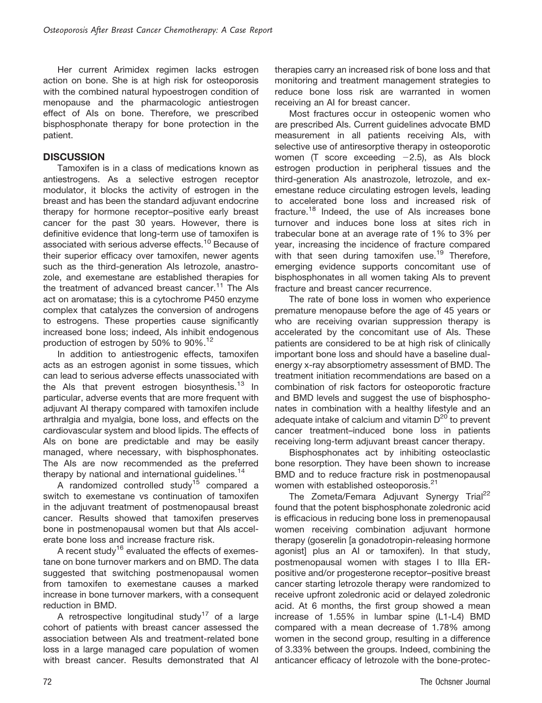Her current Arimidex regimen lacks estrogen action on bone. She is at high risk for osteoporosis with the combined natural hypoestrogen condition of menopause and the pharmacologic antiestrogen effect of AIs on bone. Therefore, we prescribed bisphosphonate therapy for bone protection in the patient.

## **DISCUSSION**

Tamoxifen is in a class of medications known as antiestrogens. As a selective estrogen receptor modulator, it blocks the activity of estrogen in the breast and has been the standard adjuvant endocrine therapy for hormone receptor–positive early breast cancer for the past 30 years. However, there is definitive evidence that long-term use of tamoxifen is associated with serious adverse effects.<sup>10</sup> Because of their superior efficacy over tamoxifen, newer agents such as the third-generation AIs letrozole, anastrozole, and exemestane are established therapies for the treatment of advanced breast cancer.<sup>11</sup> The Als act on aromatase; this is a cytochrome P450 enzyme complex that catalyzes the conversion of androgens to estrogens. These properties cause significantly increased bone loss; indeed, AIs inhibit endogenous production of estrogen by 50% to 90%.<sup>12</sup>

In addition to antiestrogenic effects, tamoxifen acts as an estrogen agonist in some tissues, which can lead to serious adverse effects unassociated with the Als that prevent estrogen biosynthesis.<sup>13</sup> In particular, adverse events that are more frequent with adjuvant AI therapy compared with tamoxifen include arthralgia and myalgia, bone loss, and effects on the cardiovascular system and blood lipids. The effects of AIs on bone are predictable and may be easily managed, where necessary, with bisphosphonates. The AIs are now recommended as the preferred therapy by national and international guidelines.<sup>14</sup>

A randomized controlled study<sup>15</sup> compared a switch to exemestane vs continuation of tamoxifen in the adjuvant treatment of postmenopausal breast cancer. Results showed that tamoxifen preserves bone in postmenopausal women but that AIs accelerate bone loss and increase fracture risk.

A recent study<sup>16</sup> evaluated the effects of exemestane on bone turnover markers and on BMD. The data suggested that switching postmenopausal women from tamoxifen to exemestane causes a marked increase in bone turnover markers, with a consequent reduction in BMD.

A retrospective longitudinal study<sup>17</sup> of a large cohort of patients with breast cancer assessed the association between AIs and treatment-related bone loss in a large managed care population of women with breast cancer. Results demonstrated that AI therapies carry an increased risk of bone loss and that monitoring and treatment management strategies to reduce bone loss risk are warranted in women receiving an AI for breast cancer.

Most fractures occur in osteopenic women who are prescribed AIs. Current guidelines advocate BMD measurement in all patients receiving AIs, with selective use of antiresorptive therapy in osteoporotic women (T score exceeding  $-2.5$ ), as Als block estrogen production in peripheral tissues and the third-generation AIs anastrozole, letrozole, and exemestane reduce circulating estrogen levels, leading to accelerated bone loss and increased risk of fracture.<sup>18</sup> Indeed, the use of AIs increases bone turnover and induces bone loss at sites rich in trabecular bone at an average rate of 1% to 3% per year, increasing the incidence of fracture compared with that seen during tamoxifen use.<sup>19</sup> Therefore, emerging evidence supports concomitant use of bisphosphonates in all women taking AIs to prevent fracture and breast cancer recurrence.

The rate of bone loss in women who experience premature menopause before the age of 45 years or who are receiving ovarian suppression therapy is accelerated by the concomitant use of AIs. These patients are considered to be at high risk of clinically important bone loss and should have a baseline dualenergy x-ray absorptiometry assessment of BMD. The treatment initiation recommendations are based on a combination of risk factors for osteoporotic fracture and BMD levels and suggest the use of bisphosphonates in combination with a healthy lifestyle and an adequate intake of calcium and vitamin  $D^{20}$  to prevent cancer treatment–induced bone loss in patients receiving long-term adjuvant breast cancer therapy.

Bisphosphonates act by inhibiting osteoclastic bone resorption. They have been shown to increase BMD and to reduce fracture risk in postmenopausal women with established osteoporosis.<sup>21</sup>

The Zometa/Femara Adjuvant Synergy Trial<sup>22</sup> found that the potent bisphosphonate zoledronic acid is efficacious in reducing bone loss in premenopausal women receiving combination adjuvant hormone therapy (goserelin [a gonadotropin-releasing hormone agonist] plus an AI or tamoxifen). In that study, postmenopausal women with stages I to IIIa ERpositive and/or progesterone receptor–positive breast cancer starting letrozole therapy were randomized to receive upfront zoledronic acid or delayed zoledronic acid. At 6 months, the first group showed a mean increase of 1.55% in lumbar spine (L1-L4) BMD compared with a mean decrease of 1.78% among women in the second group, resulting in a difference of 3.33% between the groups. Indeed, combining the anticancer efficacy of letrozole with the bone-protec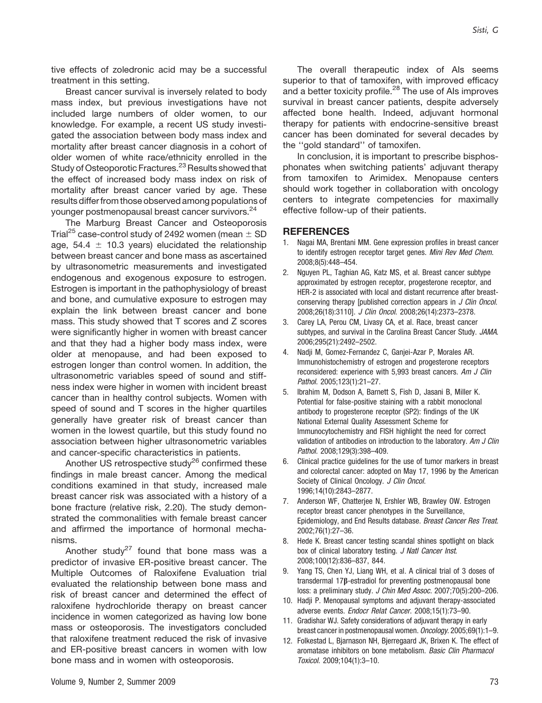tive effects of zoledronic acid may be a successful treatment in this setting.

Breast cancer survival is inversely related to body mass index, but previous investigations have not included large numbers of older women, to our knowledge. For example, a recent US study investigated the association between body mass index and mortality after breast cancer diagnosis in a cohort of older women of white race/ethnicity enrolled in the Study of Osteoporotic Fractures.<sup>23</sup> Results showed that the effect of increased body mass index on risk of mortality after breast cancer varied by age. These results differfrom those observed among populations of younger postmenopausal breast cancer survivors.24

The Marburg Breast Cancer and Osteoporosis Trial<sup>25</sup> case-control study of 2492 women (mean  $\pm$  SD age, 54.4  $\pm$  10.3 years) elucidated the relationship between breast cancer and bone mass as ascertained by ultrasonometric measurements and investigated endogenous and exogenous exposure to estrogen. Estrogen is important in the pathophysiology of breast and bone, and cumulative exposure to estrogen may explain the link between breast cancer and bone mass. This study showed that T scores and Z scores were significantly higher in women with breast cancer and that they had a higher body mass index, were older at menopause, and had been exposed to estrogen longer than control women. In addition, the ultrasonometric variables speed of sound and stiffness index were higher in women with incident breast cancer than in healthy control subjects. Women with speed of sound and T scores in the higher quartiles generally have greater risk of breast cancer than women in the lowest quartile, but this study found no association between higher ultrasonometric variables and cancer-specific characteristics in patients.

Another US retrospective study $^{26}$  confirmed these findings in male breast cancer. Among the medical conditions examined in that study, increased male breast cancer risk was associated with a history of a bone fracture (relative risk, 2.20). The study demonstrated the commonalities with female breast cancer and affirmed the importance of hormonal mechanisms.

Another study<sup>27</sup> found that bone mass was a predictor of invasive ER-positive breast cancer. The Multiple Outcomes of Raloxifene Evaluation trial evaluated the relationship between bone mass and risk of breast cancer and determined the effect of raloxifene hydrochloride therapy on breast cancer incidence in women categorized as having low bone mass or osteoporosis. The investigators concluded that raloxifene treatment reduced the risk of invasive and ER-positive breast cancers in women with low bone mass and in women with osteoporosis.

The overall therapeutic index of AIs seems superior to that of tamoxifen, with improved efficacy and a better toxicity profile.<sup>28</sup> The use of Als improves survival in breast cancer patients, despite adversely affected bone health. Indeed, adjuvant hormonal therapy for patients with endocrine-sensitive breast cancer has been dominated for several decades by the ''gold standard'' of tamoxifen.

In conclusion, it is important to prescribe bisphosphonates when switching patients' adjuvant therapy from tamoxifen to Arimidex. Menopause centers should work together in collaboration with oncology centers to integrate competencies for maximally effective follow-up of their patients.

### **REFERENCES**

- 1. Nagai MA, Brentani MM. Gene expression profiles in breast cancer to identify estrogen receptor target genes. Mini Rev Med Chem. 2008;8(5):448–454.
- 2. Nguyen PL, Taghian AG, Katz MS, et al. Breast cancer subtype approximated by estrogen receptor, progesterone receptor, and HER-2 is associated with local and distant recurrence after breastconserving therapy [published correction appears in J Clin Oncol. 2008;26(18):3110]. J Clin Oncol. 2008;26(14):2373–2378.
- 3. Carey LA, Perou CM, Livasy CA, et al. Race, breast cancer subtypes, and survival in the Carolina Breast Cancer Study. JAMA. 2006;295(21):2492–2502.
- 4. Nadji M, Gomez-Fernandez C, Ganjei-Azar P, Morales AR. Immunohistochemistry of estrogen and progesterone receptors reconsidered: experience with 5,993 breast cancers. Am J Clin Pathol. 2005;123(1):21–27.
- 5. Ibrahim M, Dodson A, Barnett S, Fish D, Jasani B, Miller K. Potential for false-positive staining with a rabbit monoclonal antibody to progesterone receptor (SP2): findings of the UK National External Quality Assessment Scheme for Immunocytochemistry and FISH highlight the need for correct validation of antibodies on introduction to the laboratory. Am J Clin Pathol. 2008;129(3):398–409.
- 6. Clinical practice guidelines for the use of tumor markers in breast and colorectal cancer: adopted on May 17, 1996 by the American Society of Clinical Oncology. J Clin Oncol. 1996;14(10):2843–2877.
- 7. Anderson WF, Chatterjee N, Ershler WB, Brawley OW. Estrogen receptor breast cancer phenotypes in the Surveillance, Epidemiology, and End Results database. Breast Cancer Res Treat. 2002;76(1):27–36.
- 8. Hede K. Breast cancer testing scandal shines spotlight on black box of clinical laboratory testing. J Natl Cancer Inst. 2008;100(12):836–837, 844.
- 9. Yang TS, Chen YJ, Liang WH, et al. A clinical trial of 3 doses of transdermal 17b-estradiol for preventing postmenopausal bone loss: a preliminary study. J Chin Med Assoc. 2007;70(5):200-206.
- 10. Hadji P. Menopausal symptoms and adjuvant therapy-associated adverse events. Endocr Relat Cancer. 2008;15(1):73–90.
- 11. Gradishar WJ. Safety considerations of adjuvant therapy in early breast cancer in postmenopausal women. Oncology. 2005;69(1):1–9.
- 12. Folkestad L, Bjarnason NH, Bjerregaard JK, Brixen K. The effect of aromatase inhibitors on bone metabolism. Basic Clin Pharmacol Toxicol. 2009;104(1):3–10.